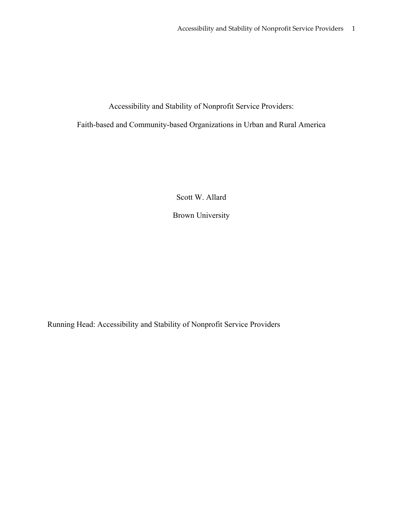Accessibility and Stability of Nonprofit Service Providers:

Faith-based and Community-based Organizations in Urban and Rural America

Scott W. Allard

Brown University

Running Head: Accessibility and Stability of Nonprofit Service Providers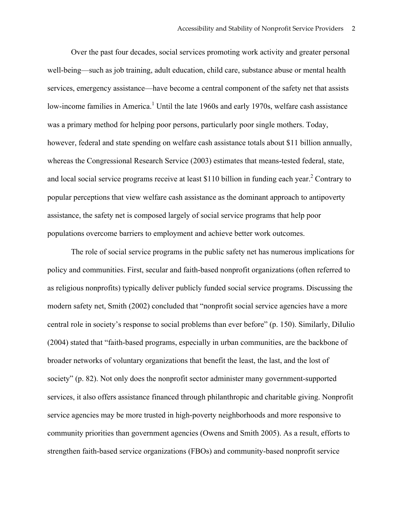Over the past four decades, social services promoting work activity and greater personal well-being—such as job training, adult education, child care, substance abuse or mental health services, emergency assistance—have become a central component of the safety net that assists low-income families in America.<sup>1</sup> Until the late 1960s and early 1970s, welfare cash assistance was a primary method for helping poor persons, particularly poor single mothers. Today, however, federal and state spending on welfare cash assistance totals about \$11 billion annually, whereas the Congressional Research Service (2003) estimates that means-tested federal, state, and local social service programs receive at least \$110 billion in funding each year.<sup>2</sup> Contrary to popular perceptions that view welfare cash assistance as the dominant approach to antipoverty assistance, the safety net is composed largely of social service programs that help poor populations overcome barriers to employment and achieve better work outcomes.

The role of social service programs in the public safety net has numerous implications for policy and communities. First, secular and faith-based nonprofit organizations (often referred to as religious nonprofits) typically deliver publicly funded social service programs. Discussing the modern safety net, Smith (2002) concluded that "nonprofit social service agencies have a more central role in society's response to social problems than ever before" (p. 150). Similarly, DiIulio (2004) stated that "faith-based programs, especially in urban communities, are the backbone of broader networks of voluntary organizations that benefit the least, the last, and the lost of society" (p. 82). Not only does the nonprofit sector administer many government-supported services, it also offers assistance financed through philanthropic and charitable giving. Nonprofit service agencies may be more trusted in high-poverty neighborhoods and more responsive to community priorities than government agencies (Owens and Smith 2005). As a result, efforts to strengthen faith-based service organizations (FBOs) and community-based nonprofit service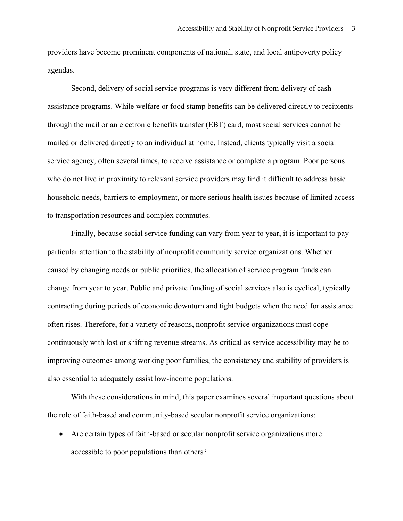providers have become prominent components of national, state, and local antipoverty policy agendas.

Second, delivery of social service programs is very different from delivery of cash assistance programs. While welfare or food stamp benefits can be delivered directly to recipients through the mail or an electronic benefits transfer (EBT) card, most social services cannot be mailed or delivered directly to an individual at home. Instead, clients typically visit a social service agency, often several times, to receive assistance or complete a program. Poor persons who do not live in proximity to relevant service providers may find it difficult to address basic household needs, barriers to employment, or more serious health issues because of limited access to transportation resources and complex commutes.

Finally, because social service funding can vary from year to year, it is important to pay particular attention to the stability of nonprofit community service organizations. Whether caused by changing needs or public priorities, the allocation of service program funds can change from year to year. Public and private funding of social services also is cyclical, typically contracting during periods of economic downturn and tight budgets when the need for assistance often rises. Therefore, for a variety of reasons, nonprofit service organizations must cope continuously with lost or shifting revenue streams. As critical as service accessibility may be to improving outcomes among working poor families, the consistency and stability of providers is also essential to adequately assist low-income populations.

With these considerations in mind, this paper examines several important questions about the role of faith-based and community-based secular nonprofit service organizations:

• Are certain types of faith-based or secular nonprofit service organizations more accessible to poor populations than others?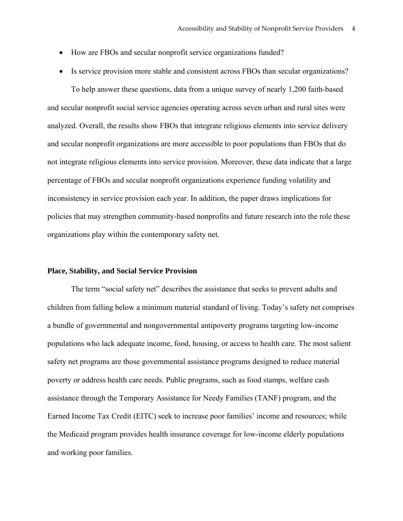- How are FBOs and secular nonprofit service organizations funded?
- Is service provision more stable and consistent across FBOs than secular organizations?

To help answer these questions, data from a unique survey of nearly 1,200 faith-based and secular nonprofit social service agencies operating across seven urban and rural sites were analyzed. Overall, the results show FBOs that integrate religious elements into service delivery and secular nonprofit organizations are more accessible to poor populations than FBOs that do not integrate religious elements into service provision. Moreover, these data indicate that a large percentage of FBOs and secular nonprofit organizations experience funding volatility and inconsistency in service provision each year. In addition, the paper draws implications for policies that may strengthen community-based nonprofits and future research into the role these organizations play within the contemporary safety net.

# **Place, Stability, and Social Service Provision**

The term "social safety net" describes the assistance that seeks to prevent adults and children from falling below a minimum material standard of living. Today's safety net comprises a bundle of governmental and nongovernmental antipoverty programs targeting low-income populations who lack adequate income, food, housing, or access to health care. The most salient safety net programs are those governmental assistance programs designed to reduce material poverty or address health care needs. Public programs, such as food stamps, welfare cash assistance through the Temporary Assistance for Needy Families (TANF) program, and the Earned Income Tax Credit (EITC) seek to increase poor families' income and resources; while the Medicaid program provides health insurance coverage for low-income elderly populations and working poor families.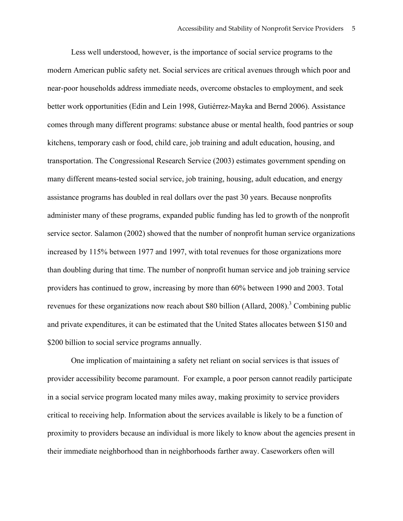Less well understood, however, is the importance of social service programs to the modern American public safety net. Social services are critical avenues through which poor and near-poor households address immediate needs, overcome obstacles to employment, and seek better work opportunities (Edin and Lein 1998, Gutiérrez-Mayka and Bernd 2006). Assistance comes through many different programs: substance abuse or mental health, food pantries or soup kitchens, temporary cash or food, child care, job training and adult education, housing, and transportation. The Congressional Research Service (2003) estimates government spending on many different means-tested social service, job training, housing, adult education, and energy assistance programs has doubled in real dollars over the past 30 years. Because nonprofits administer many of these programs, expanded public funding has led to growth of the nonprofit service sector. Salamon (2002) showed that the number of nonprofit human service organizations increased by 115% between 1977 and 1997, with total revenues for those organizations more than doubling during that time. The number of nonprofit human service and job training service providers has continued to grow, increasing by more than 60% between 1990 and 2003. Total revenues for these organizations now reach about \$80 billion (Allard, 2008).<sup>3</sup> Combining public and private expenditures, it can be estimated that the United States allocates between \$150 and \$200 billion to social service programs annually.

One implication of maintaining a safety net reliant on social services is that issues of provider accessibility become paramount. For example, a poor person cannot readily participate in a social service program located many miles away, making proximity to service providers critical to receiving help. Information about the services available is likely to be a function of proximity to providers because an individual is more likely to know about the agencies present in their immediate neighborhood than in neighborhoods farther away. Caseworkers often will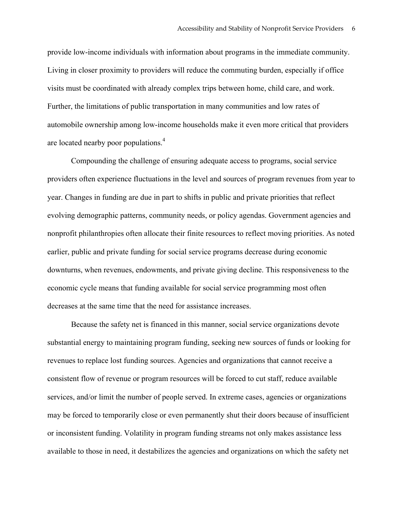provide low-income individuals with information about programs in the immediate community. Living in closer proximity to providers will reduce the commuting burden, especially if office visits must be coordinated with already complex trips between home, child care, and work. Further, the limitations of public transportation in many communities and low rates of automobile ownership among low-income households make it even more critical that providers are located nearby poor populations. $4$ 

Compounding the challenge of ensuring adequate access to programs, social service providers often experience fluctuations in the level and sources of program revenues from year to year. Changes in funding are due in part to shifts in public and private priorities that reflect evolving demographic patterns, community needs, or policy agendas. Government agencies and nonprofit philanthropies often allocate their finite resources to reflect moving priorities. As noted earlier, public and private funding for social service programs decrease during economic downturns, when revenues, endowments, and private giving decline. This responsiveness to the economic cycle means that funding available for social service programming most often decreases at the same time that the need for assistance increases.

Because the safety net is financed in this manner, social service organizations devote substantial energy to maintaining program funding, seeking new sources of funds or looking for revenues to replace lost funding sources. Agencies and organizations that cannot receive a consistent flow of revenue or program resources will be forced to cut staff, reduce available services, and/or limit the number of people served. In extreme cases, agencies or organizations may be forced to temporarily close or even permanently shut their doors because of insufficient or inconsistent funding. Volatility in program funding streams not only makes assistance less available to those in need, it destabilizes the agencies and organizations on which the safety net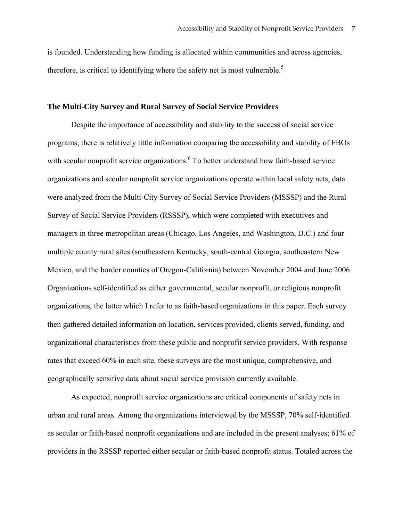is founded. Understanding how funding is allocated within communities and across agencies, therefore, is critical to identifying where the safety net is most vulnerable.<sup>5</sup>

#### **The Multi-City Survey and Rural Survey of Social Service Providers**

Despite the importance of accessibility and stability to the success of social service programs, there is relatively little information comparing the accessibility and stability of FBOs with secular nonprofit service organizations. <sup>6</sup> To better understand how faith-based service organizations and secular nonprofit service organizations operate within local safety nets, data were analyzed from the Multi-City Survey of Social Service Providers (MSSSP) and the Rural Survey of Social Service Providers (RSSSP), which were completed with executives and managers in three metropolitan areas (Chicago, Los Angeles, and Washington, D.C.) and four multiple county rural sites (southeastern Kentucky, south-central Georgia, southeastern New Mexico, and the border counties of Oregon-California) between November 2004 and June 2006. Organizations self-identified as either governmental, secular nonprofit, or religious nonprofit organizations, the latter which I refer to as faith-based organizations in this paper. Each survey then gathered detailed information on location, services provided, clients served, funding, and organizational characteristics from these public and nonprofit service providers. With response rates that exceed 60% in each site, these surveys are the most unique, comprehensive, and geographically sensitive data about social service provision currently available.

As expected, nonprofit service organizations are critical components of safety nets in urban and rural areas. Among the organizations interviewed by the MSSSP, 70% self-identified as secular or faith-based nonprofit organizations and are included in the present analyses; 61% of providers in the RSSSP reported either secular or faith-based nonprofit status. Totaled across the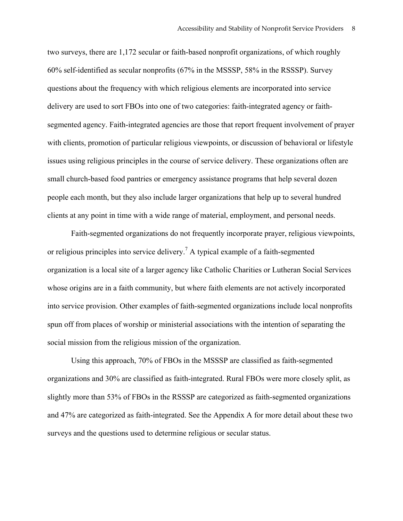two surveys, there are 1,172 secular or faith-based nonprofit organizations, of which roughly 60% self-identified as secular nonprofits (67% in the MSSSP, 58% in the RSSSP). Survey questions about the frequency with which religious elements are incorporated into service delivery are used to sort FBOs into one of two categories: faith-integrated agency or faithsegmented agency. Faith-integrated agencies are those that report frequent involvement of prayer with clients, promotion of particular religious viewpoints, or discussion of behavioral or lifestyle issues using religious principles in the course of service delivery. These organizations often are small church-based food pantries or emergency assistance programs that help several dozen people each month, but they also include larger organizations that help up to several hundred clients at any point in time with a wide range of material, employment, and personal needs.

Faith-segmented organizations do not frequently incorporate prayer, religious viewpoints, or religious principles into service delivery.<sup>7</sup> A typical example of a faith-segmented organization is a local site of a larger agency like Catholic Charities or Lutheran Social Services whose origins are in a faith community, but where faith elements are not actively incorporated into service provision. Other examples of faith-segmented organizations include local nonprofits spun off from places of worship or ministerial associations with the intention of separating the social mission from the religious mission of the organization.

Using this approach, 70% of FBOs in the MSSSP are classified as faith-segmented organizations and 30% are classified as faith-integrated. Rural FBOs were more closely split, as slightly more than 53% of FBOs in the RSSSP are categorized as faith-segmented organizations and 47% are categorized as faith-integrated. See the Appendix A for more detail about these two surveys and the questions used to determine religious or secular status.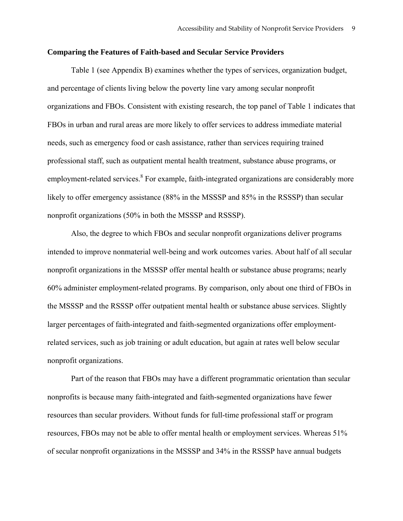#### **Comparing the Features of Faith-based and Secular Service Providers**

Table 1 (see Appendix B) examines whether the types of services, organization budget, and percentage of clients living below the poverty line vary among secular nonprofit organizations and FBOs. Consistent with existing research, the top panel of Table 1 indicates that FBOs in urban and rural areas are more likely to offer services to address immediate material needs, such as emergency food or cash assistance, rather than services requiring trained professional staff, such as outpatient mental health treatment, substance abuse programs, or employment-related services.<sup>8</sup> For example, faith-integrated organizations are considerably more likely to offer emergency assistance (88% in the MSSSP and 85% in the RSSSP) than secular nonprofit organizations (50% in both the MSSSP and RSSSP).

Also, the degree to which FBOs and secular nonprofit organizations deliver programs intended to improve nonmaterial well-being and work outcomes varies. About half of all secular nonprofit organizations in the MSSSP offer mental health or substance abuse programs; nearly 60% administer employment-related programs. By comparison, only about one third of FBOs in the MSSSP and the RSSSP offer outpatient mental health or substance abuse services. Slightly larger percentages of faith-integrated and faith-segmented organizations offer employmentrelated services, such as job training or adult education, but again at rates well below secular nonprofit organizations.

Part of the reason that FBOs may have a different programmatic orientation than secular nonprofits is because many faith-integrated and faith-segmented organizations have fewer resources than secular providers. Without funds for full-time professional staff or program resources, FBOs may not be able to offer mental health or employment services. Whereas 51% of secular nonprofit organizations in the MSSSP and 34% in the RSSSP have annual budgets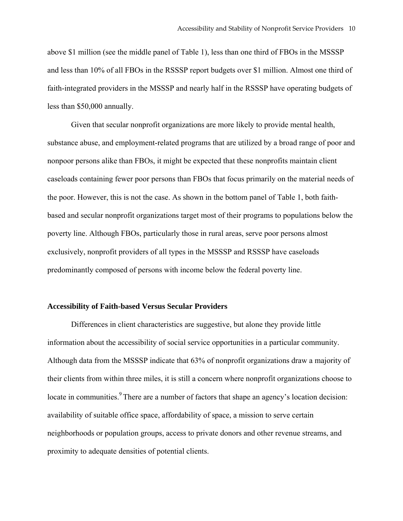above \$1 million (see the middle panel of Table 1), less than one third of FBOs in the MSSSP and less than 10% of all FBOs in the RSSSP report budgets over \$1 million. Almost one third of faith-integrated providers in the MSSSP and nearly half in the RSSSP have operating budgets of less than \$50,000 annually.

Given that secular nonprofit organizations are more likely to provide mental health, substance abuse, and employment-related programs that are utilized by a broad range of poor and nonpoor persons alike than FBOs, it might be expected that these nonprofits maintain client caseloads containing fewer poor persons than FBOs that focus primarily on the material needs of the poor. However, this is not the case. As shown in the bottom panel of Table 1, both faithbased and secular nonprofit organizations target most of their programs to populations below the poverty line. Although FBOs, particularly those in rural areas, serve poor persons almost exclusively, nonprofit providers of all types in the MSSSP and RSSSP have caseloads predominantly composed of persons with income below the federal poverty line.

#### **Accessibility of Faith-based Versus Secular Providers**

Differences in client characteristics are suggestive, but alone they provide little information about the accessibility of social service opportunities in a particular community. Although data from the MSSSP indicate that 63% of nonprofit organizations draw a majority of their clients from within three miles, it is still a concern where nonprofit organizations choose to locate in communities.<sup>9</sup> There are a number of factors that shape an agency's location decision: availability of suitable office space, affordability of space, a mission to serve certain neighborhoods or population groups, access to private donors and other revenue streams, and proximity to adequate densities of potential clients.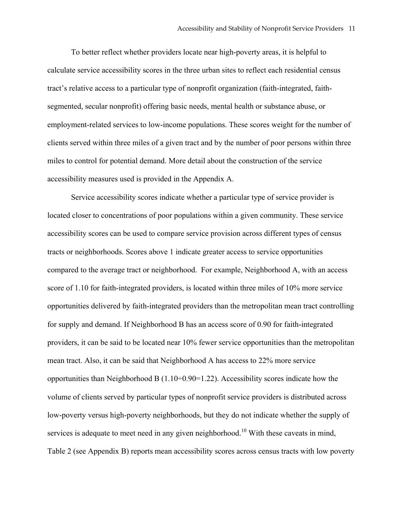To better reflect whether providers locate near high-poverty areas, it is helpful to calculate service accessibility scores in the three urban sites to reflect each residential census tract's relative access to a particular type of nonprofit organization (faith-integrated, faithsegmented, secular nonprofit) offering basic needs, mental health or substance abuse, or employment-related services to low-income populations. These scores weight for the number of clients served within three miles of a given tract and by the number of poor persons within three miles to control for potential demand. More detail about the construction of the service accessibility measures used is provided in the Appendix A.

Service accessibility scores indicate whether a particular type of service provider is located closer to concentrations of poor populations within a given community. These service accessibility scores can be used to compare service provision across different types of census tracts or neighborhoods. Scores above 1 indicate greater access to service opportunities compared to the average tract or neighborhood. For example, Neighborhood A, with an access score of 1.10 for faith-integrated providers, is located within three miles of 10% more service opportunities delivered by faith-integrated providers than the metropolitan mean tract controlling for supply and demand. If Neighborhood B has an access score of 0.90 for faith-integrated providers, it can be said to be located near 10% fewer service opportunities than the metropolitan mean tract. Also, it can be said that Neighborhood A has access to 22% more service opportunities than Neighborhood B  $(1.10\div 0.90=1.22)$ . Accessibility scores indicate how the volume of clients served by particular types of nonprofit service providers is distributed across low-poverty versus high-poverty neighborhoods, but they do not indicate whether the supply of services is adequate to meet need in any given neighborhood.<sup>10</sup> With these caveats in mind, Table 2 (see Appendix B) reports mean accessibility scores across census tracts with low poverty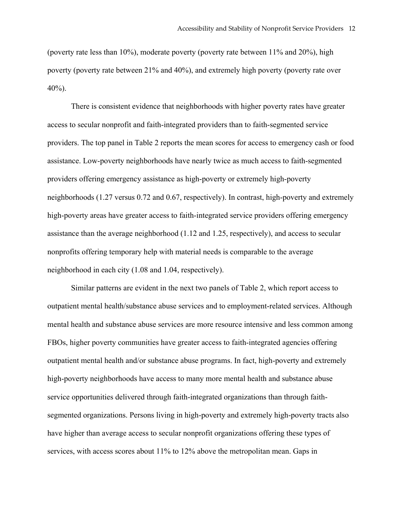(poverty rate less than 10%), moderate poverty (poverty rate between 11% and 20%), high poverty (poverty rate between 21% and 40%), and extremely high poverty (poverty rate over  $40\%$ ).

There is consistent evidence that neighborhoods with higher poverty rates have greater access to secular nonprofit and faith-integrated providers than to faith-segmented service providers. The top panel in Table 2 reports the mean scores for access to emergency cash or food assistance. Low-poverty neighborhoods have nearly twice as much access to faith-segmented providers offering emergency assistance as high-poverty or extremely high-poverty neighborhoods (1.27 versus 0.72 and 0.67, respectively). In contrast, high-poverty and extremely high-poverty areas have greater access to faith-integrated service providers offering emergency assistance than the average neighborhood (1.12 and 1.25, respectively), and access to secular nonprofits offering temporary help with material needs is comparable to the average neighborhood in each city (1.08 and 1.04, respectively).

Similar patterns are evident in the next two panels of Table 2, which report access to outpatient mental health/substance abuse services and to employment-related services. Although mental health and substance abuse services are more resource intensive and less common among FBOs, higher poverty communities have greater access to faith-integrated agencies offering outpatient mental health and/or substance abuse programs. In fact, high-poverty and extremely high-poverty neighborhoods have access to many more mental health and substance abuse service opportunities delivered through faith-integrated organizations than through faithsegmented organizations. Persons living in high-poverty and extremely high-poverty tracts also have higher than average access to secular nonprofit organizations offering these types of services, with access scores about 11% to 12% above the metropolitan mean. Gaps in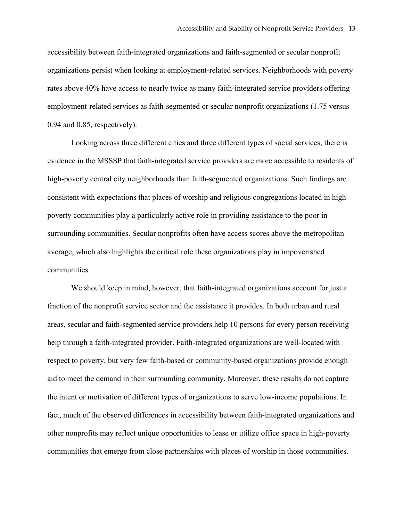accessibility between faith-integrated organizations and faith-segmented or secular nonprofit organizations persist when looking at employment-related services. Neighborhoods with poverty rates above 40% have access to nearly twice as many faith-integrated service providers offering employment-related services as faith-segmented or secular nonprofit organizations (1.75 versus 0.94 and 0.85, respectively).

Looking across three different cities and three different types of social services, there is evidence in the MSSSP that faith-integrated service providers are more accessible to residents of high-poverty central city neighborhoods than faith-segmented organizations. Such findings are consistent with expectations that places of worship and religious congregations located in highpoverty communities play a particularly active role in providing assistance to the poor in surrounding communities. Secular nonprofits often have access scores above the metropolitan average, which also highlights the critical role these organizations play in impoverished communities.

We should keep in mind, however, that faith-integrated organizations account for just a fraction of the nonprofit service sector and the assistance it provides. In both urban and rural areas, secular and faith-segmented service providers help 10 persons for every person receiving help through a faith-integrated provider. Faith-integrated organizations are well-located with respect to poverty, but very few faith-based or community-based organizations provide enough aid to meet the demand in their surrounding community. Moreover, these results do not capture the intent or motivation of different types of organizations to serve low-income populations. In fact, much of the observed differences in accessibility between faith-integrated organizations and other nonprofits may reflect unique opportunities to lease or utilize office space in high-poverty communities that emerge from close partnerships with places of worship in those communities.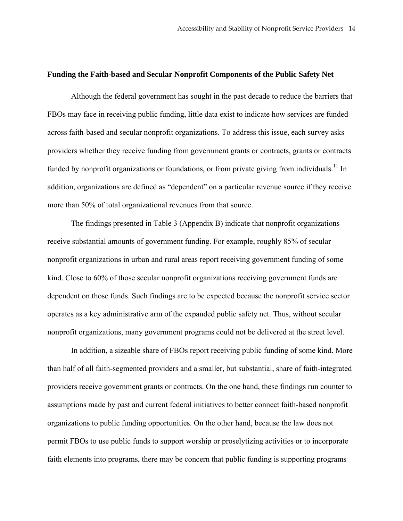#### **Funding the Faith-based and Secular Nonprofit Components of the Public Safety Net**

Although the federal government has sought in the past decade to reduce the barriers that FBOs may face in receiving public funding, little data exist to indicate how services are funded across faith-based and secular nonprofit organizations. To address this issue, each survey asks providers whether they receive funding from government grants or contracts, grants or contracts funded by nonprofit organizations or foundations, or from private giving from individuals.<sup>11</sup> In addition, organizations are defined as "dependent" on a particular revenue source if they receive more than 50% of total organizational revenues from that source.

The findings presented in Table 3 (Appendix B) indicate that nonprofit organizations receive substantial amounts of government funding. For example, roughly 85% of secular nonprofit organizations in urban and rural areas report receiving government funding of some kind. Close to 60% of those secular nonprofit organizations receiving government funds are dependent on those funds. Such findings are to be expected because the nonprofit service sector operates as a key administrative arm of the expanded public safety net. Thus, without secular nonprofit organizations, many government programs could not be delivered at the street level.

In addition, a sizeable share of FBOs report receiving public funding of some kind. More than half of all faith-segmented providers and a smaller, but substantial, share of faith-integrated providers receive government grants or contracts. On the one hand, these findings run counter to assumptions made by past and current federal initiatives to better connect faith-based nonprofit organizations to public funding opportunities. On the other hand, because the law does not permit FBOs to use public funds to support worship or proselytizing activities or to incorporate faith elements into programs, there may be concern that public funding is supporting programs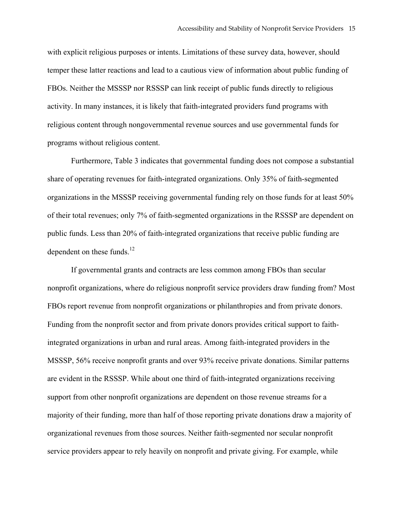with explicit religious purposes or intents. Limitations of these survey data, however, should temper these latter reactions and lead to a cautious view of information about public funding of FBOs. Neither the MSSSP nor RSSSP can link receipt of public funds directly to religious activity. In many instances, it is likely that faith-integrated providers fund programs with religious content through nongovernmental revenue sources and use governmental funds for programs without religious content.

Furthermore, Table 3 indicates that governmental funding does not compose a substantial share of operating revenues for faith-integrated organizations. Only 35% of faith-segmented organizations in the MSSSP receiving governmental funding rely on those funds for at least 50% of their total revenues; only 7% of faith-segmented organizations in the RSSSP are dependent on public funds. Less than 20% of faith-integrated organizations that receive public funding are dependent on these funds. $12$ 

If governmental grants and contracts are less common among FBOs than secular nonprofit organizations, where do religious nonprofit service providers draw funding from? Most FBOs report revenue from nonprofit organizations or philanthropies and from private donors. Funding from the nonprofit sector and from private donors provides critical support to faithintegrated organizations in urban and rural areas. Among faith-integrated providers in the MSSSP, 56% receive nonprofit grants and over 93% receive private donations. Similar patterns are evident in the RSSSP. While about one third of faith-integrated organizations receiving support from other nonprofit organizations are dependent on those revenue streams for a majority of their funding, more than half of those reporting private donations draw a majority of organizational revenues from those sources. Neither faith-segmented nor secular nonprofit service providers appear to rely heavily on nonprofit and private giving. For example, while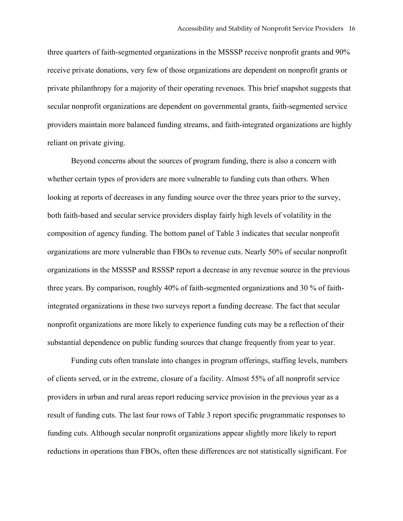three quarters of faith-segmented organizations in the MSSSP receive nonprofit grants and 90% receive private donations, very few of those organizations are dependent on nonprofit grants or private philanthropy for a majority of their operating revenues. This brief snapshot suggests that secular nonprofit organizations are dependent on governmental grants, faith-segmented service providers maintain more balanced funding streams, and faith-integrated organizations are highly reliant on private giving.

Beyond concerns about the sources of program funding, there is also a concern with whether certain types of providers are more vulnerable to funding cuts than others. When looking at reports of decreases in any funding source over the three years prior to the survey, both faith-based and secular service providers display fairly high levels of volatility in the composition of agency funding. The bottom panel of Table 3 indicates that secular nonprofit organizations are more vulnerable than FBOs to revenue cuts. Nearly 50% of secular nonprofit organizations in the MSSSP and RSSSP report a decrease in any revenue source in the previous three years. By comparison, roughly 40% of faith-segmented organizations and 30 % of faithintegrated organizations in these two surveys report a funding decrease. The fact that secular nonprofit organizations are more likely to experience funding cuts may be a reflection of their substantial dependence on public funding sources that change frequently from year to year.

Funding cuts often translate into changes in program offerings, staffing levels, numbers of clients served, or in the extreme, closure of a facility. Almost 55% of all nonprofit service providers in urban and rural areas report reducing service provision in the previous year as a result of funding cuts. The last four rows of Table 3 report specific programmatic responses to funding cuts. Although secular nonprofit organizations appear slightly more likely to report reductions in operations than FBOs, often these differences are not statistically significant. For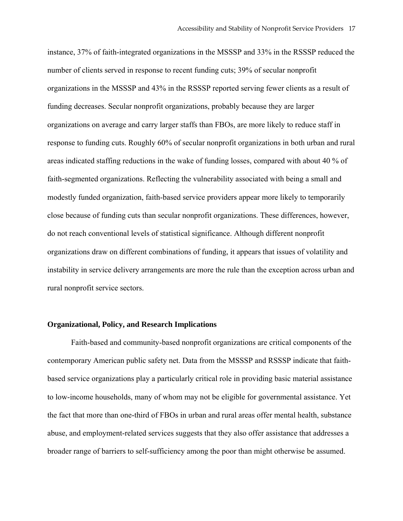instance, 37% of faith-integrated organizations in the MSSSP and 33% in the RSSSP reduced the number of clients served in response to recent funding cuts; 39% of secular nonprofit organizations in the MSSSP and 43% in the RSSSP reported serving fewer clients as a result of funding decreases. Secular nonprofit organizations, probably because they are larger organizations on average and carry larger staffs than FBOs, are more likely to reduce staff in response to funding cuts. Roughly 60% of secular nonprofit organizations in both urban and rural areas indicated staffing reductions in the wake of funding losses, compared with about 40 % of faith-segmented organizations. Reflecting the vulnerability associated with being a small and modestly funded organization, faith-based service providers appear more likely to temporarily close because of funding cuts than secular nonprofit organizations. These differences, however, do not reach conventional levels of statistical significance. Although different nonprofit organizations draw on different combinations of funding, it appears that issues of volatility and instability in service delivery arrangements are more the rule than the exception across urban and rural nonprofit service sectors.

## **Organizational, Policy, and Research Implications**

Faith-based and community-based nonprofit organizations are critical components of the contemporary American public safety net. Data from the MSSSP and RSSSP indicate that faithbased service organizations play a particularly critical role in providing basic material assistance to low-income households, many of whom may not be eligible for governmental assistance. Yet the fact that more than one-third of FBOs in urban and rural areas offer mental health, substance abuse, and employment-related services suggests that they also offer assistance that addresses a broader range of barriers to self-sufficiency among the poor than might otherwise be assumed.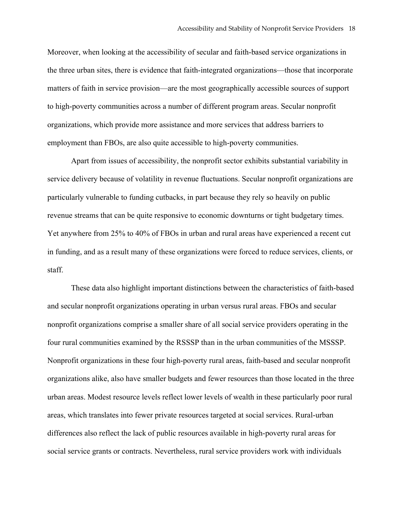Moreover, when looking at the accessibility of secular and faith-based service organizations in the three urban sites, there is evidence that faith-integrated organizations—those that incorporate matters of faith in service provision—are the most geographically accessible sources of support to high-poverty communities across a number of different program areas. Secular nonprofit organizations, which provide more assistance and more services that address barriers to employment than FBOs, are also quite accessible to high-poverty communities.

Apart from issues of accessibility, the nonprofit sector exhibits substantial variability in service delivery because of volatility in revenue fluctuations. Secular nonprofit organizations are particularly vulnerable to funding cutbacks, in part because they rely so heavily on public revenue streams that can be quite responsive to economic downturns or tight budgetary times. Yet anywhere from 25% to 40% of FBOs in urban and rural areas have experienced a recent cut in funding, and as a result many of these organizations were forced to reduce services, clients, or staff.

These data also highlight important distinctions between the characteristics of faith-based and secular nonprofit organizations operating in urban versus rural areas. FBOs and secular nonprofit organizations comprise a smaller share of all social service providers operating in the four rural communities examined by the RSSSP than in the urban communities of the MSSSP. Nonprofit organizations in these four high-poverty rural areas, faith-based and secular nonprofit organizations alike, also have smaller budgets and fewer resources than those located in the three urban areas. Modest resource levels reflect lower levels of wealth in these particularly poor rural areas, which translates into fewer private resources targeted at social services. Rural-urban differences also reflect the lack of public resources available in high-poverty rural areas for social service grants or contracts. Nevertheless, rural service providers work with individuals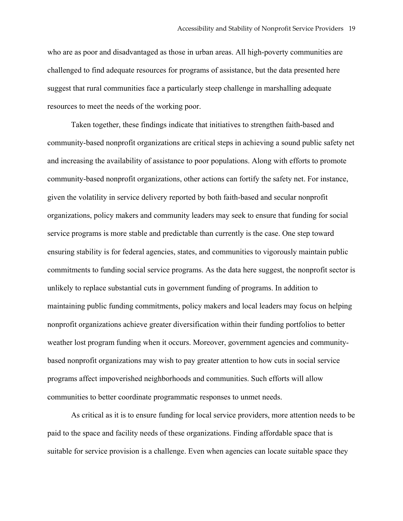who are as poor and disadvantaged as those in urban areas. All high-poverty communities are challenged to find adequate resources for programs of assistance, but the data presented here suggest that rural communities face a particularly steep challenge in marshalling adequate resources to meet the needs of the working poor.

Taken together, these findings indicate that initiatives to strengthen faith-based and community-based nonprofit organizations are critical steps in achieving a sound public safety net and increasing the availability of assistance to poor populations. Along with efforts to promote community-based nonprofit organizations, other actions can fortify the safety net. For instance, given the volatility in service delivery reported by both faith-based and secular nonprofit organizations, policy makers and community leaders may seek to ensure that funding for social service programs is more stable and predictable than currently is the case. One step toward ensuring stability is for federal agencies, states, and communities to vigorously maintain public commitments to funding social service programs. As the data here suggest, the nonprofit sector is unlikely to replace substantial cuts in government funding of programs. In addition to maintaining public funding commitments, policy makers and local leaders may focus on helping nonprofit organizations achieve greater diversification within their funding portfolios to better weather lost program funding when it occurs. Moreover, government agencies and communitybased nonprofit organizations may wish to pay greater attention to how cuts in social service programs affect impoverished neighborhoods and communities. Such efforts will allow communities to better coordinate programmatic responses to unmet needs.

As critical as it is to ensure funding for local service providers, more attention needs to be paid to the space and facility needs of these organizations. Finding affordable space that is suitable for service provision is a challenge. Even when agencies can locate suitable space they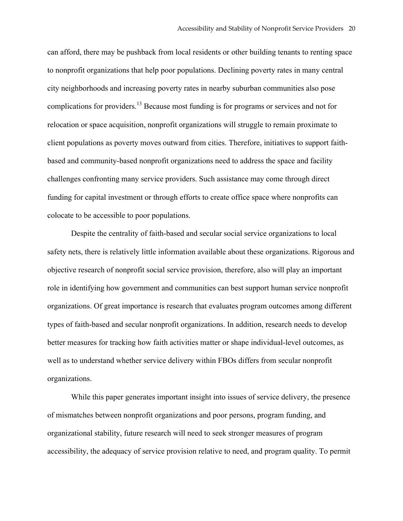can afford, there may be pushback from local residents or other building tenants to renting space to nonprofit organizations that help poor populations. Declining poverty rates in many central city neighborhoods and increasing poverty rates in nearby suburban communities also pose complications for providers.13 Because most funding is for programs or services and not for relocation or space acquisition, nonprofit organizations will struggle to remain proximate to client populations as poverty moves outward from cities. Therefore, initiatives to support faithbased and community-based nonprofit organizations need to address the space and facility challenges confronting many service providers. Such assistance may come through direct funding for capital investment or through efforts to create office space where nonprofits can colocate to be accessible to poor populations.

Despite the centrality of faith-based and secular social service organizations to local safety nets, there is relatively little information available about these organizations. Rigorous and objective research of nonprofit social service provision, therefore, also will play an important role in identifying how government and communities can best support human service nonprofit organizations. Of great importance is research that evaluates program outcomes among different types of faith-based and secular nonprofit organizations. In addition, research needs to develop better measures for tracking how faith activities matter or shape individual-level outcomes, as well as to understand whether service delivery within FBOs differs from secular nonprofit organizations.

While this paper generates important insight into issues of service delivery, the presence of mismatches between nonprofit organizations and poor persons, program funding, and organizational stability, future research will need to seek stronger measures of program accessibility, the adequacy of service provision relative to need, and program quality. To permit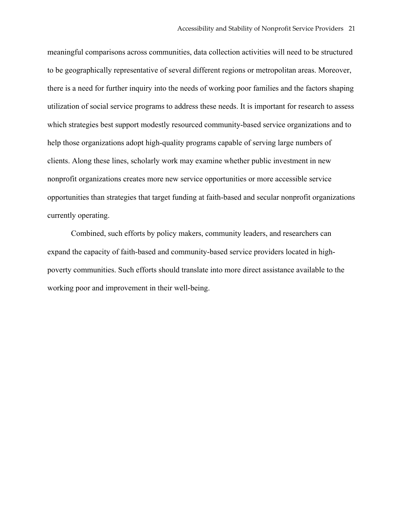meaningful comparisons across communities, data collection activities will need to be structured to be geographically representative of several different regions or metropolitan areas. Moreover, there is a need for further inquiry into the needs of working poor families and the factors shaping utilization of social service programs to address these needs. It is important for research to assess which strategies best support modestly resourced community-based service organizations and to help those organizations adopt high-quality programs capable of serving large numbers of clients. Along these lines, scholarly work may examine whether public investment in new nonprofit organizations creates more new service opportunities or more accessible service opportunities than strategies that target funding at faith-based and secular nonprofit organizations currently operating.

Combined, such efforts by policy makers, community leaders, and researchers can expand the capacity of faith-based and community-based service providers located in highpoverty communities. Such efforts should translate into more direct assistance available to the working poor and improvement in their well-being.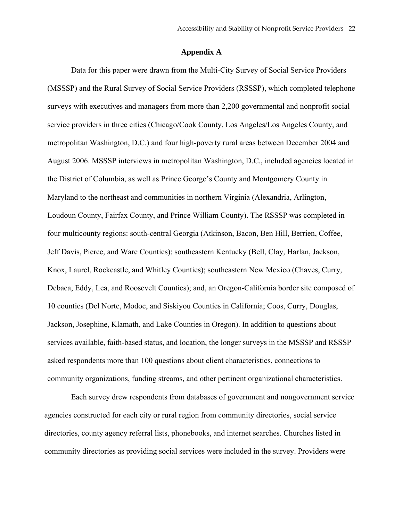#### **Appendix A**

Data for this paper were drawn from the Multi-City Survey of Social Service Providers (MSSSP) and the Rural Survey of Social Service Providers (RSSSP), which completed telephone surveys with executives and managers from more than 2,200 governmental and nonprofit social service providers in three cities (Chicago/Cook County, Los Angeles/Los Angeles County, and metropolitan Washington, D.C.) and four high-poverty rural areas between December 2004 and August 2006. MSSSP interviews in metropolitan Washington, D.C., included agencies located in the District of Columbia, as well as Prince George's County and Montgomery County in Maryland to the northeast and communities in northern Virginia (Alexandria, Arlington, Loudoun County, Fairfax County, and Prince William County). The RSSSP was completed in four multicounty regions: south-central Georgia (Atkinson, Bacon, Ben Hill, Berrien, Coffee, Jeff Davis, Pierce, and Ware Counties); southeastern Kentucky (Bell, Clay, Harlan, Jackson, Knox, Laurel, Rockcastle, and Whitley Counties); southeastern New Mexico (Chaves, Curry, Debaca, Eddy, Lea, and Roosevelt Counties); and, an Oregon-California border site composed of 10 counties (Del Norte, Modoc, and Siskiyou Counties in California; Coos, Curry, Douglas, Jackson, Josephine, Klamath, and Lake Counties in Oregon). In addition to questions about services available, faith-based status, and location, the longer surveys in the MSSSP and RSSSP asked respondents more than 100 questions about client characteristics, connections to community organizations, funding streams, and other pertinent organizational characteristics.

Each survey drew respondents from databases of government and nongovernment service agencies constructed for each city or rural region from community directories, social service directories, county agency referral lists, phonebooks, and internet searches. Churches listed in community directories as providing social services were included in the survey. Providers were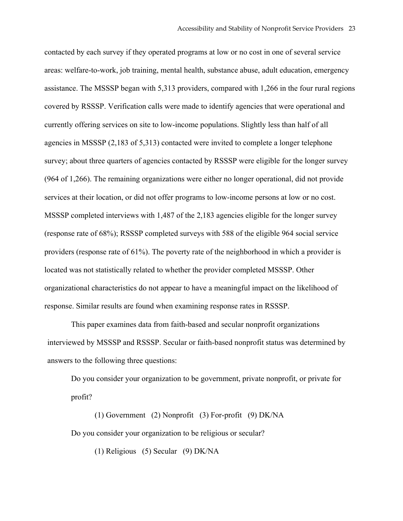contacted by each survey if they operated programs at low or no cost in one of several service areas: welfare-to-work, job training, mental health, substance abuse, adult education, emergency assistance. The MSSSP began with 5,313 providers, compared with 1,266 in the four rural regions covered by RSSSP. Verification calls were made to identify agencies that were operational and currently offering services on site to low-income populations. Slightly less than half of all agencies in MSSSP (2,183 of 5,313) contacted were invited to complete a longer telephone survey; about three quarters of agencies contacted by RSSSP were eligible for the longer survey (964 of 1,266). The remaining organizations were either no longer operational, did not provide services at their location, or did not offer programs to low-income persons at low or no cost. MSSSP completed interviews with 1,487 of the 2,183 agencies eligible for the longer survey (response rate of 68%); RSSSP completed surveys with 588 of the eligible 964 social service providers (response rate of 61%). The poverty rate of the neighborhood in which a provider is located was not statistically related to whether the provider completed MSSSP. Other organizational characteristics do not appear to have a meaningful impact on the likelihood of response. Similar results are found when examining response rates in RSSSP.

This paper examines data from faith-based and secular nonprofit organizations interviewed by MSSSP and RSSSP. Secular or faith-based nonprofit status was determined by answers to the following three questions:

Do you consider your organization to be government, private nonprofit, or private for profit?

 (1) Government (2) Nonprofit (3) For-profit (9) DK/NA Do you consider your organization to be religious or secular?

(1) Religious (5) Secular (9) DK/NA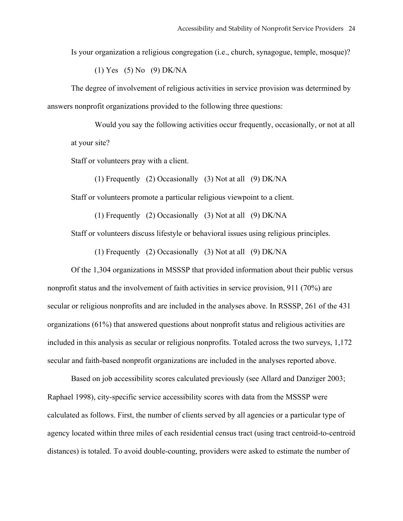Is your organization a religious congregation (i.e., church, synagogue, temple, mosque)?

(1) Yes (5) No (9) DK/NA

The degree of involvement of religious activities in service provision was determined by answers nonprofit organizations provided to the following three questions:

Would you say the following activities occur frequently, occasionally, or not at all at your site?

Staff or volunteers pray with a client.

(1) Frequently (2) Occasionally (3) Not at all (9) DK/NA

Staff or volunteers promote a particular religious viewpoint to a client.

(1) Frequently (2) Occasionally (3) Not at all (9) DK/NA

Staff or volunteers discuss lifestyle or behavioral issues using religious principles.

(1) Frequently (2) Occasionally (3) Not at all (9) DK/NA

Of the 1,304 organizations in MSSSP that provided information about their public versus nonprofit status and the involvement of faith activities in service provision, 911 (70%) are secular or religious nonprofits and are included in the analyses above. In RSSSP, 261 of the 431 organizations (61%) that answered questions about nonprofit status and religious activities are included in this analysis as secular or religious nonprofits. Totaled across the two surveys, 1,172 secular and faith-based nonprofit organizations are included in the analyses reported above.

Based on job accessibility scores calculated previously (see Allard and Danziger 2003; Raphael 1998), city-specific service accessibility scores with data from the MSSSP were calculated as follows. First, the number of clients served by all agencies or a particular type of agency located within three miles of each residential census tract (using tract centroid-to-centroid distances) is totaled. To avoid double-counting, providers were asked to estimate the number of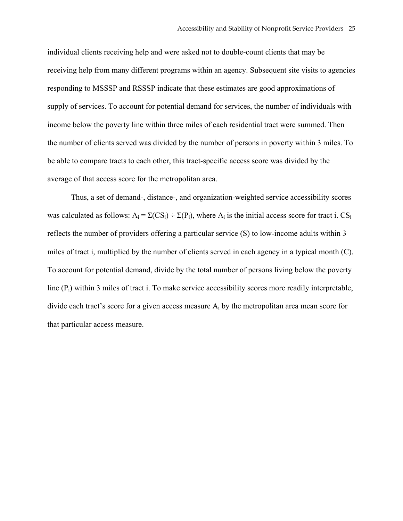individual clients receiving help and were asked not to double-count clients that may be receiving help from many different programs within an agency. Subsequent site visits to agencies responding to MSSSP and RSSSP indicate that these estimates are good approximations of supply of services. To account for potential demand for services, the number of individuals with income below the poverty line within three miles of each residential tract were summed. Then the number of clients served was divided by the number of persons in poverty within 3 miles. To be able to compare tracts to each other, this tract-specific access score was divided by the average of that access score for the metropolitan area.

 Thus, a set of demand-, distance-, and organization-weighted service accessibility scores was calculated as follows:  $A_i = \Sigma(CS_i) \div \Sigma(P_i)$ , where  $A_i$  is the initial access score for tract i.  $CS_i$ reflects the number of providers offering a particular service (S) to low-income adults within 3 miles of tract i, multiplied by the number of clients served in each agency in a typical month (C). To account for potential demand, divide by the total number of persons living below the poverty line  $(P_i)$  within 3 miles of tract i. To make service accessibility scores more readily interpretable, divide each tract's score for a given access measure  $A_i$  by the metropolitan area mean score for that particular access measure.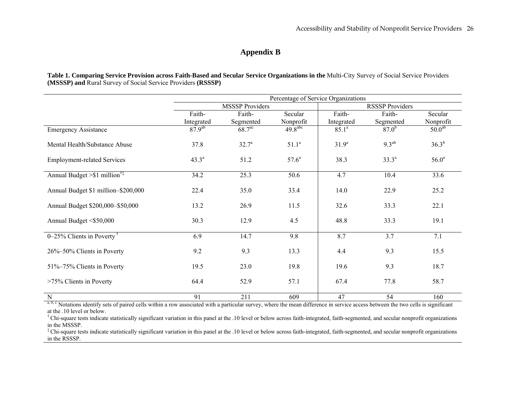# **Appendix B**

**Table 1. Comparing Service Provision across Faith-Based and Secular Service Organizations in the** Multi-City Survey of Social Service Providers **(MSSSP) and** Rural Survey of Social Service Providers **(RSSSP)** 

|                                            | Percentage of Service Organizations |                    |                     |                        |            |                    |  |
|--------------------------------------------|-------------------------------------|--------------------|---------------------|------------------------|------------|--------------------|--|
|                                            | <b>MSSSP Providers</b>              |                    |                     | <b>RSSSP Providers</b> |            |                    |  |
|                                            | Faith-                              | Faith-             | Secular             | Faith-                 | Faith-     | Secular            |  |
|                                            | Integrated                          | Segmented          | Nonprofit           | Integrated             | Segmented  | Nonprofit          |  |
| <b>Emergency Assistance</b>                | 87.9 <sup>ab</sup>                  | 68.7 <sup>ac</sup> | $49.8^{\text{abc}}$ | 85.1 <sup>a</sup>      | $87.0^{b}$ | 50.0 <sup>ab</sup> |  |
| Mental Health/Substance Abuse              | 37.8                                | $32.7^{\circ}$     | $51.1^a$            | 31.9 <sup>a</sup>      | $9.3^{ab}$ | $36.3^{b}$         |  |
| <b>Employment-related Services</b>         | $43.3^{\circ}$                      | 51.2               | $57.6^{\circ}$      | 38.3                   | $33.3^a$   | $56.0^{\rm a}$     |  |
| Annual Budget $> $1$ million <sup>†‡</sup> | 34.2                                | 25.3               | 50.6                | 4.7                    | 10.4       | 33.6               |  |
| Annual Budget \$1 million-\$200,000        | 22.4                                | 35.0               | 33.4                | 14.0                   | 22.9       | 25.2               |  |
| Annual Budget \$200,000-\$50,000           | 13.2                                | 26.9               | 11.5                | 32.6                   | 33.3       | 22.1               |  |
| Annual Budget <\$50,000                    | 30.3                                | 12.9               | 4.5                 | 48.8                   | 33.3       | 19.1               |  |
| $0-25\%$ Clients in Poverty <sup>†</sup>   | 6.9                                 | 14.7               | 9.8                 | 8.7                    | 3.7        | 7.1                |  |
| 26%-50% Clients in Poverty                 | 9.2                                 | 9.3                | 13.3                | 4.4                    | 9.3        | 15.5               |  |
| 51%-75% Clients in Poverty                 | 19.5                                | 23.0               | 19.8                | 19.6                   | 9.3        | 18.7               |  |
| >75% Clients in Poverty                    | 64.4                                | 52.9               | 57.1                | 67.4                   | 77.8       | 58.7               |  |
| $\overline{N}$                             | 91                                  | 211                | 609                 | 47                     | 54         | 160                |  |

a, b, c Notations identify sets of paired cells within a row associated with a particular survey, where the mean difference in service access between the two cells is significant at the .10 level or below.

† Chi-square tests indicate statistically significant variation in this panel at the .10 level or below across faith-integrated, faith-segmented, and secular nonprofit organizations in the MSSSP.

<sup>‡</sup>Chi-square tests indicate statistically significant variation in this panel at the .10 level or below across faith-integrated, faith-segmented, and secular nonprofit organizations in the RSSSP.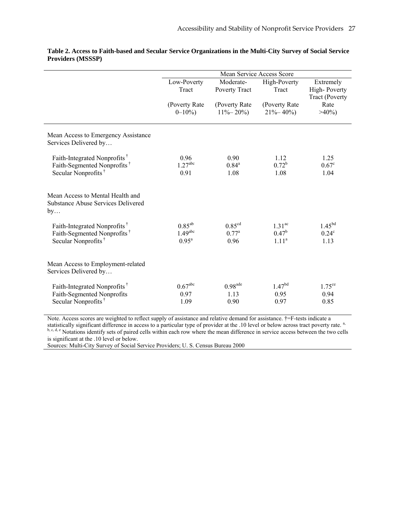|                                                                                                                        | Mean Service Access Score                                 |                                        |                                                           |                                                    |  |  |
|------------------------------------------------------------------------------------------------------------------------|-----------------------------------------------------------|----------------------------------------|-----------------------------------------------------------|----------------------------------------------------|--|--|
|                                                                                                                        | Low-Poverty<br>Tract                                      | Moderate-<br>Poverty Tract             | High-Poverty<br>Tract                                     | Extremely<br>High-Poverty<br><b>Tract (Poverty</b> |  |  |
|                                                                                                                        | (Poverty Rate<br>$0 - 10\%$                               | (Poverty Rate<br>$11\% - 20\%$         | (Poverty Rate<br>$21\% - 40\%$                            | Rate<br>$>40\%$                                    |  |  |
| Mean Access to Emergency Assistance<br>Services Delivered by                                                           |                                                           |                                        |                                                           |                                                    |  |  |
| Faith-Integrated Nonprofits <sup>†</sup><br>Faith-Segmented Nonprofits <sup>†</sup><br>Secular Nonprofits <sup>†</sup> | 0.96<br>1.27 <sup>abc</sup><br>0.91                       | 0.90<br>$0.84^a$<br>1.08               | 1.12<br>$0.72^b$<br>1.08                                  | 1.25<br>$0.67^{\circ}$<br>1.04                     |  |  |
| Mean Access to Mental Health and<br><b>Substance Abuse Services Delivered</b><br>by                                    |                                                           |                                        |                                                           |                                                    |  |  |
| Faith-Integrated Nonprofits <sup>†</sup><br>Faith-Segmented Nonprofits <sup>†</sup><br>Secular Nonprofits <sup>†</sup> | $0.85^{ab}$<br>$1.49$ <sup>abc</sup><br>0.95 <sup>a</sup> | 0.85 <sup>cd</sup><br>$0.77^a$<br>0.96 | 1.31 <sup>ac</sup><br>$0.47^{\rm b}$<br>1.11 <sup>a</sup> | 1.45 <sup>bd</sup><br>$0.24^c$<br>1.13             |  |  |
| Mean Access to Employment-related<br>Services Delivered by                                                             |                                                           |                                        |                                                           |                                                    |  |  |
| Faith-Integrated Nonprofits <sup>†</sup><br>Faith-Segmented Nonprofits<br>Secular Nonprofits <sup>†</sup>              | $0.67$ <sup>abc</sup><br>0.97<br>1.09                     | $0.98$ <sup>ade</sup><br>1.13<br>0.90  | $1.47^{bd}$<br>0.95<br>0.97                               | $1.75^{\text{ce}}$<br>0.94<br>0.85                 |  |  |

**Table 2. Access to Faith-based and Secular Service Organizations in the Multi-City Survey of Social Service Providers (MSSSP)** 

Note. Access scores are weighted to reflect supply of assistance and relative demand for assistance. †=F-tests indicate a statistically significant difference in access to a particular type of provider at the .10 level or below across tract poverty rate.<sup>a,</sup> b, c, d, e Notations identify sets of paired cells within each row where the mean difference in service access between the two cells is significant at the .10 level or below.

Sources: Multi-City Survey of Social Service Providers; U. S. Census Bureau 2000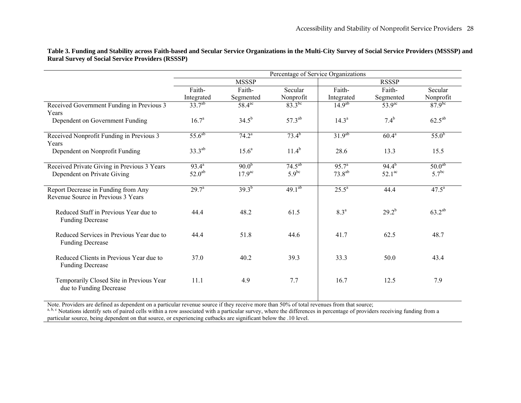|                                             | Percentage of Service Organizations |                        |             |                    |                    |                    |  |
|---------------------------------------------|-------------------------------------|------------------------|-------------|--------------------|--------------------|--------------------|--|
|                                             | <b>MSSSP</b>                        |                        |             | <b>RSSSP</b>       |                    |                    |  |
|                                             | Faith-                              | Faith-                 | Secular     | Faith-             | Faith-             | Secular            |  |
|                                             | Integrated                          | Segmented              | Nonprofit   | Integrated         | Segmented          | Nonprofit          |  |
| Received Government Funding in Previous 3   | $33.7^{ab}$                         | $58.\overline{4^{ac}}$ | $83.3^{bc}$ | $14.9^{ab}$        | 53.9 <sup>ac</sup> | $87.9^{bc}$        |  |
| Years                                       |                                     |                        |             |                    |                    |                    |  |
| Dependent on Government Funding             | $16.7^{\circ}$                      | $34.5^{b}$             | $57.3^{ab}$ | $14.3^{\circ}$     | $7.4^{b}$          | $62.5^{ab}$        |  |
|                                             |                                     |                        |             |                    |                    |                    |  |
| Received Nonprofit Funding in Previous 3    | $55.6^{ab}$                         | $74.2^{\circ}$         | $73.4^{b}$  | 31.9 <sup>ab</sup> | $60.4^{a}$         | $55.0^{b}$         |  |
| Years                                       |                                     |                        |             |                    |                    |                    |  |
| Dependent on Nonprofit Funding              | $33.3^{ab}$                         | $15.6^a$               | $11.4^{b}$  | 28.6               | 13.3               | 15.5               |  |
| Received Private Giving in Previous 3 Years | $93.4^{a}$                          | $90.0^{b}$             | $74.5^{ab}$ | $95.7^{\circ}$     | $94.4^{b}$         | 50.0 <sup>ab</sup> |  |
|                                             | $52.0^{ab}$                         | 17.9 <sup>ac</sup>     | $5.9^{bc}$  | $73.8^{ab}$        | $52.1^\text{ac}$   | 5.7 <sup>bc</sup>  |  |
| Dependent on Private Giving                 |                                     |                        |             |                    |                    |                    |  |
| Report Decrease in Funding from Any         | $29.7^a$                            | $39.3^{b}$             | $49.1^{ab}$ | $25.5^{\circ}$     | 44.4               | $47.5^{\circ}$     |  |
| Revenue Source in Previous 3 Years          |                                     |                        |             |                    |                    |                    |  |
|                                             |                                     |                        |             |                    |                    |                    |  |
| Reduced Staff in Previous Year due to       | 44.4                                | 48.2                   | 61.5        | 8.3 <sup>a</sup>   | $29.2^{b}$         | $63.2^{ab}$        |  |
| <b>Funding Decrease</b>                     |                                     |                        |             |                    |                    |                    |  |
|                                             |                                     |                        |             |                    |                    |                    |  |
| Reduced Services in Previous Year due to    | 44.4                                | 51.8                   | 44.6        | 41.7               | 62.5               | 48.7               |  |
| <b>Funding Decrease</b>                     |                                     |                        |             |                    |                    |                    |  |
|                                             |                                     |                        |             |                    |                    |                    |  |
| Reduced Clients in Previous Year due to     | 37.0                                | 40.2                   | 39.3        | 33.3               | 50.0               | 43.4               |  |
| <b>Funding Decrease</b>                     |                                     |                        |             |                    |                    |                    |  |
| Temporarily Closed Site in Previous Year    | 11.1                                | 4.9                    | 7.7         | 16.7               | 12.5               | 7.9                |  |
| due to Funding Decrease                     |                                     |                        |             |                    |                    |                    |  |
|                                             |                                     |                        |             |                    |                    |                    |  |

**Table 3. Funding and Stability across Faith-based and Secular Service Organizations in the Multi-City Survey of Social Service Providers (MSSSP) and Rural Survey of Social Service Providers (RSSSP)** 

Note. Providers are defined as dependent on a particular revenue source if they receive more than 50% of total revenues from that source;

a, b, c Notations identify sets of paired cells within a row associated with a particular survey, where the differences in percentage of providers receiving funding from a particular source, being dependent on that source, or experiencing cutbacks are significant below the .10 level.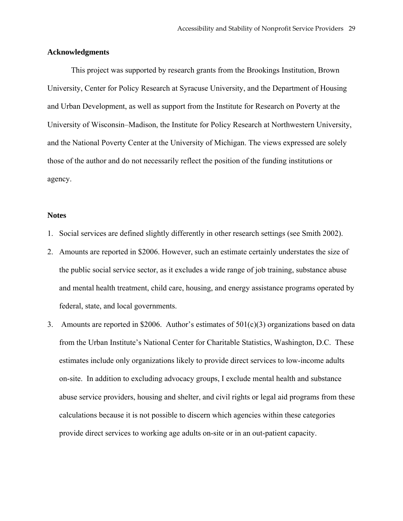## **Acknowledgments**

This project was supported by research grants from the Brookings Institution, Brown University, Center for Policy Research at Syracuse University, and the Department of Housing and Urban Development, as well as support from the Institute for Research on Poverty at the University of Wisconsin–Madison, the Institute for Policy Research at Northwestern University, and the National Poverty Center at the University of Michigan. The views expressed are solely those of the author and do not necessarily reflect the position of the funding institutions or agency.

### **Notes**

- 1. Social services are defined slightly differently in other research settings (see Smith 2002).
- 2. Amounts are reported in \$2006. However, such an estimate certainly understates the size of the public social service sector, as it excludes a wide range of job training, substance abuse and mental health treatment, child care, housing, and energy assistance programs operated by federal, state, and local governments.
- 3. Amounts are reported in \$2006. Author's estimates of 501(c)(3) organizations based on data from the Urban Institute's National Center for Charitable Statistics, Washington, D.C. These estimates include only organizations likely to provide direct services to low-income adults on-site. In addition to excluding advocacy groups, I exclude mental health and substance abuse service providers, housing and shelter, and civil rights or legal aid programs from these calculations because it is not possible to discern which agencies within these categories provide direct services to working age adults on-site or in an out-patient capacity.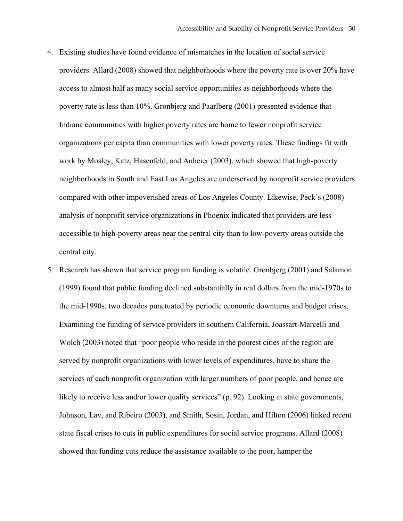- 4. Existing studies have found evidence of mismatches in the location of social service providers. Allard (2008) showed that neighborhoods where the poverty rate is over 20% have access to almost half as many social service opportunities as neighborhoods where the poverty rate is less than 10%. Grønbjerg and Paarlberg (2001) presented evidence that Indiana communities with higher poverty rates are home to fewer nonprofit service organizations per capita than communities with lower poverty rates. These findings fit with work by Mosley, Katz, Hasenfeld, and Anheier (2003), which showed that high-poverty neighborhoods in South and East Los Angeles are underserved by nonprofit service providers compared with other impoverished areas of Los Angeles County. Likewise, Peck's (2008) analysis of nonprofit service organizations in Phoenix indicated that providers are less accessible to high-poverty areas near the central city than to low-poverty areas outside the central city.
- 5. Research has shown that service program funding is volatile. Grønbjerg (2001) and Salamon (1999) found that public funding declined substantially in real dollars from the mid-1970s to the mid-1990s, two decades punctuated by periodic economic downturns and budget crises. Examining the funding of service providers in southern California, Joassart-Marcelli and Wolch (2003) noted that "poor people who reside in the poorest cities of the region are served by nonprofit organizations with lower levels of expenditures, have to share the services of each nonprofit organization with larger numbers of poor people, and hence are likely to receive less and/or lower quality services" (p. 92). Looking at state governments, Johnson, Lav, and Ribeiro (2003), and Smith, Sosin, Jordan, and Hilton (2006) linked recent state fiscal crises to cuts in public expenditures for social service programs. Allard (2008) showed that funding cuts reduce the assistance available to the poor, hamper the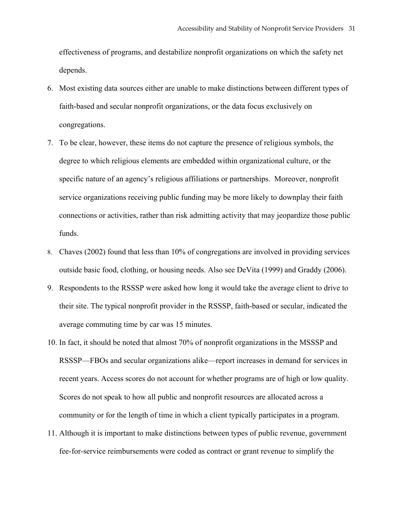effectiveness of programs, and destabilize nonprofit organizations on which the safety net depends.

- 6. Most existing data sources either are unable to make distinctions between different types of faith-based and secular nonprofit organizations, or the data focus exclusively on congregations.
- 7. To be clear, however, these items do not capture the presence of religious symbols, the degree to which religious elements are embedded within organizational culture, or the specific nature of an agency's religious affiliations or partnerships. Moreover, nonprofit service organizations receiving public funding may be more likely to downplay their faith connections or activities, rather than risk admitting activity that may jeopardize those public funds.
- 8. Chaves (2002) found that less than 10% of congregations are involved in providing services outside basic food, clothing, or housing needs. Also see DeVita (1999) and Graddy (2006).
- 9. Respondents to the RSSSP were asked how long it would take the average client to drive to their site. The typical nonprofit provider in the RSSSP, faith-based or secular, indicated the average commuting time by car was 15 minutes.
- 10. In fact, it should be noted that almost 70% of nonprofit organizations in the MSSSP and RSSSP—FBOs and secular organizations alike—report increases in demand for services in recent years. Access scores do not account for whether programs are of high or low quality. Scores do not speak to how all public and nonprofit resources are allocated across a community or for the length of time in which a client typically participates in a program.
- 11. Although it is important to make distinctions between types of public revenue, government fee-for-service reimbursements were coded as contract or grant revenue to simplify the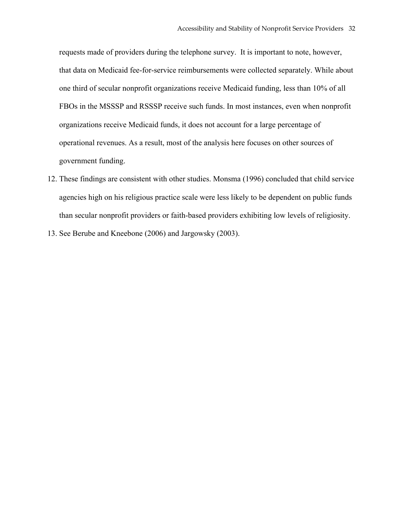requests made of providers during the telephone survey. It is important to note, however, that data on Medicaid fee-for-service reimbursements were collected separately. While about one third of secular nonprofit organizations receive Medicaid funding, less than 10% of all FBOs in the MSSSP and RSSSP receive such funds. In most instances, even when nonprofit organizations receive Medicaid funds, it does not account for a large percentage of operational revenues. As a result, most of the analysis here focuses on other sources of government funding.

- 12. These findings are consistent with other studies. Monsma (1996) concluded that child service agencies high on his religious practice scale were less likely to be dependent on public funds than secular nonprofit providers or faith-based providers exhibiting low levels of religiosity.
- 13. See Berube and Kneebone (2006) and Jargowsky (2003).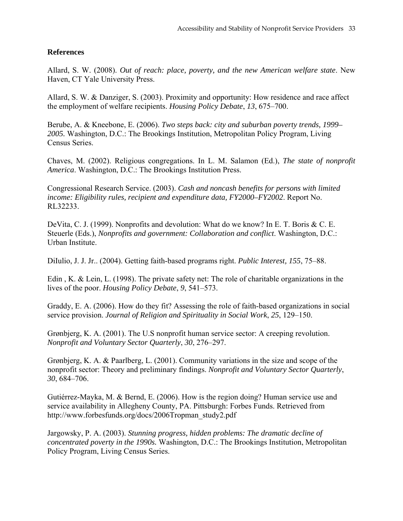# **References**

Allard, S. W. (2008). *Out of reach: place, poverty, and the new American welfare state*. New Haven, CT Yale University Press.

Allard, S. W. & Danziger, S. (2003). Proximity and opportunity: How residence and race affect the employment of welfare recipients. *Housing Policy Debate*, *13*, 675–700.

Berube, A. & Kneebone, E. (2006). *Two steps back: city and suburban poverty trends, 1999– 2005.* Washington, D.C.: The Brookings Institution, Metropolitan Policy Program, Living Census Series.

Chaves, M. (2002). Religious congregations. In L. M. Salamon (Ed.), *The state of nonprofit America*. Washington, D.C.: The Brookings Institution Press.

Congressional Research Service. (2003). *Cash and noncash benefits for persons with limited income: Eligibility rules, recipient and expenditure data, FY2000–FY2002*. Report No. RL32233.

DeVita, C. J. (1999). Nonprofits and devolution: What do we know? In E. T. Boris & C. E. Steuerle (Eds.), *Nonprofits and government: Collaboration and conflict*. Washington, D.C.: Urban Institute.

DiIulio, J. J. Jr.. (2004). Getting faith-based programs right. *Public Interest, 155*, 75–88.

Edin , K. & Lein, L. (1998). The private safety net: The role of charitable organizations in the lives of the poor. *Housing Policy Debate*, *9*, 541–573.

Graddy, E. A. (2006). How do they fit? Assessing the role of faith-based organizations in social service provision. *Journal of Religion and Spirituality in Social Work*, *25*, 129–150.

Grønbjerg, K. A. (2001). The U.S nonprofit human service sector: A creeping revolution. *Nonprofit and Voluntary Sector Quarterly*, *30*, 276–297.

Grønbjerg, K. A. & Paarlberg, L. (2001). Community variations in the size and scope of the nonprofit sector: Theory and preliminary findings. *Nonprofit and Voluntary Sector Quarterly*, *30*, 684–706.

Gutiérrez-Mayka, M. & Bernd, E. (2006). How is the region doing? Human service use and service availability in Allegheny County, PA. Pittsburgh: Forbes Funds. Retrieved from http://www.forbesfunds.org/docs/2006Tropman\_study2.pdf

Jargowsky, P. A. (2003). *Stunning progress, hidden problems: The dramatic decline of concentrated poverty in the 1990s.* Washington, D.C.: The Brookings Institution, Metropolitan Policy Program, Living Census Series.